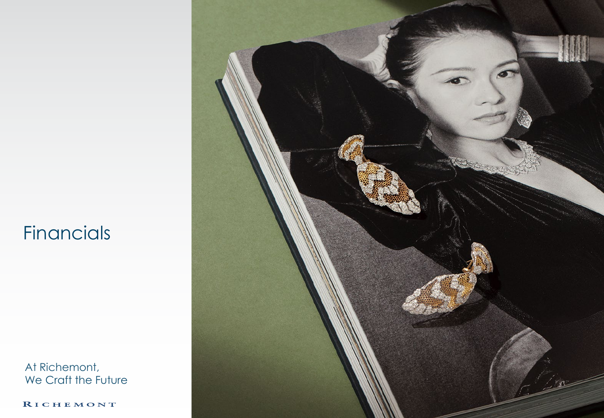### **Financials**

At Richemont, We Craft the Future

RICHEMONT

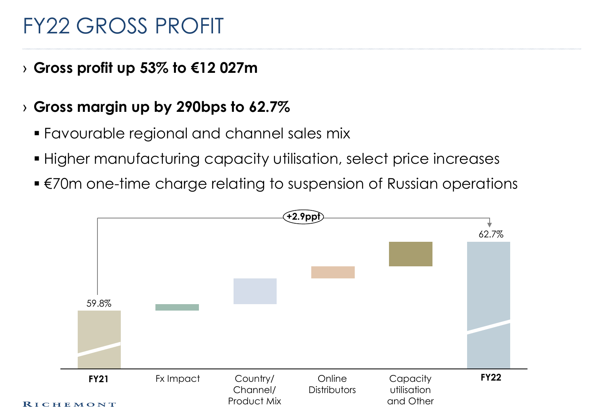### FY22 GROSS PROFIT

### › **Gross profit up 53% to €12 027m**

### › **Gross margin up by 290bps to 62.7%**

- Favourable regional and channel sales mix
- Higher manufacturing capacity utilisation, select price increases
- €70m one-time charge relating to suspension of Russian operations

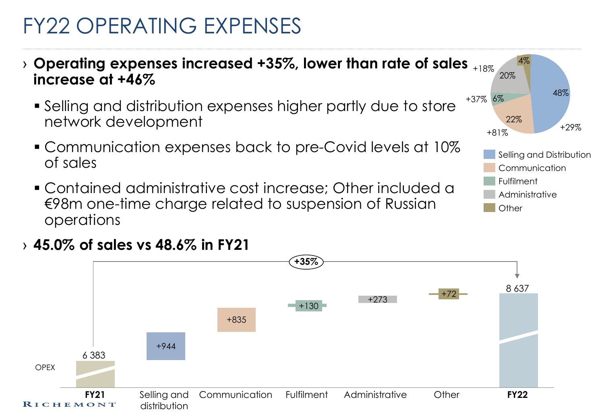# FY22 OPERATING EXPENSES

- $\rightarrow$  Operating expenses increased +35%, lower than rate of sales  $_{*18\%}$ **increase at +46%**
	- Selling and distribution expenses higher partly due to store network development
	- Communication expenses back to pre-Covid levels at 10% of sales
	- Contained administrative cost increase; Other included a €98m one-time charge related to suspension of Russian operations



#### › **45.0% of sales vs 48.6% in FY21**



20%

4%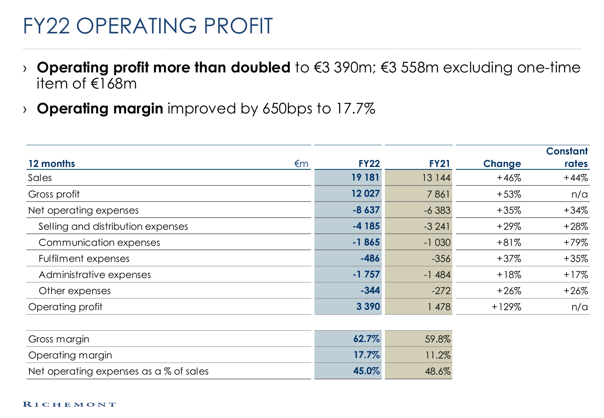### FY22 OPERATING PROFIT

- › **Operating profit more than doubled** to €3 390m; €3 558m excluding one-time item of €168m
- › **Operating margin** improved by 650bps to 17.7%

| 12 months<br>€m                   | <b>FY22</b> | <b>FY21</b> | <b>Change</b> | <b>Constant</b><br>rates |
|-----------------------------------|-------------|-------------|---------------|--------------------------|
| Sales                             | 19 181      | 13 144      | $+46%$        | $+44%$                   |
| Gross profit                      | 12 0 27     | 7861        | $+53%$        | n/a                      |
| Net operating expenses            | $-8637$     | $-6383$     | $+35%$        | $+34%$                   |
| Selling and distribution expenses | $-4185$     | $-3241$     | $+29%$        | $+28%$                   |
| Communication expenses            | $-1865$     | $-1030$     | $+81%$        | $+79%$                   |
| Fulfilment expenses               | $-486$      | $-356$      | $+37%$        | $+35%$                   |
| Administrative expenses           | $-1757$     | $-1484$     | $+18%$        | $+17%$                   |
| Other expenses                    | $-344$      | $-272$      | $+26%$        | $+26%$                   |
| Operating profit                  | 3 3 9 0     | 1 478       | $+129%$       | n/a                      |

| Gross margin                           | $62.7\%$ | 59.8%    |
|----------------------------------------|----------|----------|
| Operating margin                       | $17.7\%$ | $11.2\%$ |
| Net operating expenses as a % of sales | 45.0%    | 48.6%    |

#### RICHEMONT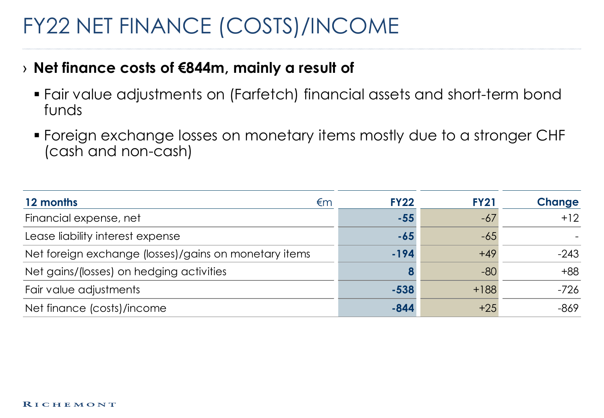# FY22 NET FINANCE (COSTS)/INCOME

#### › **Net finance costs of €844m, mainly a result of**

- Fair value adjustments on (Farfetch) financial assets and short-term bond funds
- Foreign exchange losses on monetary items mostly due to a stronger CHF (cash and non-cash)

| 12 months<br>€m                                       | <b>FY22</b> | <b>FY21</b> | <b>Change</b> |
|-------------------------------------------------------|-------------|-------------|---------------|
| Financial expense, net                                | $-55$       | $-67$       | $+12$         |
| Lease liability interest expense                      | -65         | $-65$       |               |
| Net foreign exchange (losses)/gains on monetary items | $-194$      | $+49$       | $-243$        |
| Net gains/(losses) on hedging activities              |             | $-80$       | $+88$         |
| Fair value adjustments                                | $-538$      | $+188$      | $-726$        |
| Net finance (costs)/income                            | $-844$      | $+25$       | $-869$        |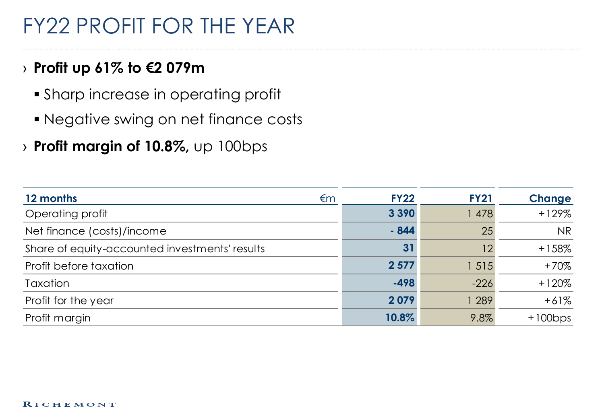## FY22 PROFIT FOR THE YEAR

### › **Profit up 61% to €2 079m**

- Sharp increase in operating profit
- Negative swing on net finance costs
- › **Profit margin of 10.8%,** up 100bps

| 12 months                                      | €m | <b>FY22</b> | <b>FY21</b> | <b>Change</b> |
|------------------------------------------------|----|-------------|-------------|---------------|
| Operating profit                               |    | 3 3 9 0     | 478         | $+129%$       |
| Net finance (costs)/income                     |    | $-844$      | 25          | <b>NR</b>     |
| Share of equity-accounted investments' results |    | 31          | 12          | $+158%$       |
| Profit before taxation                         |    | 2 5 7 7     | 1 5 1 5     | $+70%$        |
| Taxation                                       |    | $-498$      | $-226$      | $+120%$       |
| Profit for the year                            |    | 2079        | 289         | $+61%$        |
| Profit margin                                  |    | 10.8%       | 9.8%        | $+100bps$     |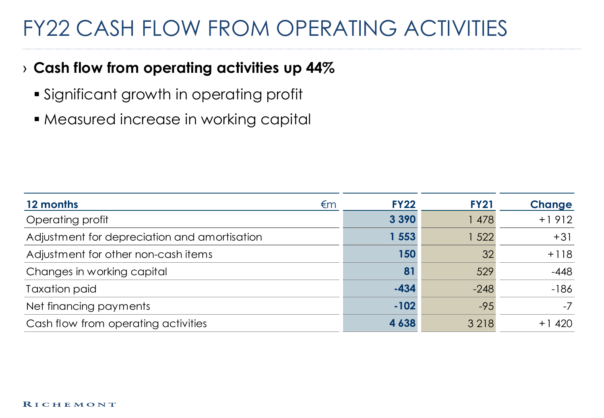## FY22 CASH FLOW FROM OPERATING ACTIVITIES

### › **Cash flow from operating activities up 44%**

- Significant growth in operating profit
- **Measured increase in working capital**

| 12 months                                    | €m | <b>FY22</b> | <b>FY21</b> | <b>Change</b> |
|----------------------------------------------|----|-------------|-------------|---------------|
| Operating profit                             |    | 3 3 9 0     | 1 478       | $+1912$       |
| Adjustment for depreciation and amortisation |    | 1553        | 1 522       | $+31$         |
| Adjustment for other non-cash items          |    | 150         | 32          | $+118$        |
| Changes in working capital                   |    | 81          | 529         | $-448$        |
| <b>Taxation paid</b>                         |    | $-434$      | $-248$      | $-186$        |
| Net financing payments                       |    | $-102$      | $-95$       | $-7$          |
| Cash flow from operating activities          |    | 4 6 3 8     | 3 2 1 8     | 420<br>+ 1    |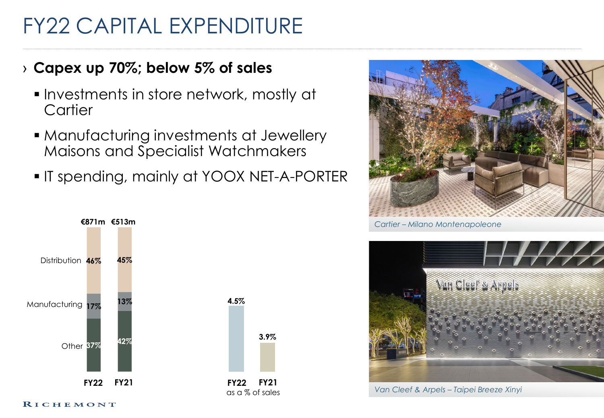# FY22 CAPITAL EXPENDITURE

### › **Capex up 70%; below 5% of sales**

- **Investments in store network, mostly at Cartier**
- **Manufacturing investments at Jewellery** Maisons and Specialist Watchmakers
- **IT spending, mainly at YOOX NET-A-PORTER**





*Cartier – Milano Montenapoleone*



*Van Cleef & Arpels – Taipei Breeze Xinyi*

#### RICHEMONT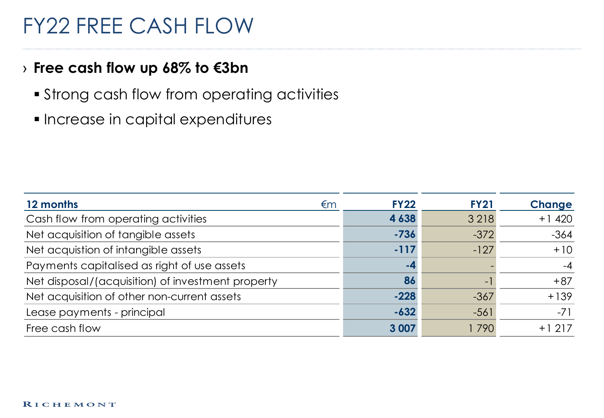### FY22 FREE CASH FLOW

#### › **Free cash flow up 68% to €3bn**

- **Strong cash flow from operating activities**
- **Increase in capital expenditures**

| 12 months                                         | €m | <b>FY22</b> | <b>FY21</b>              | <b>Change</b> |
|---------------------------------------------------|----|-------------|--------------------------|---------------|
| Cash flow from operating activities               |    | 4 6 3 8     | 3 2 1 8                  | $+1420$       |
| Net acquisition of tangible assets                |    | $-736$      | $-372$                   | $-364$        |
| Net acquistion of intangible assets               |    | $-117$      | $-127$                   | $+10$         |
| Payments capitalised as right of use assets       |    | -4          |                          | $-4$          |
| Net disposal/(acquisition) of investment property |    | 86          | $\overline{\phantom{a}}$ | $+87$         |
| Net acquisition of other non-current assets       |    | $-228$      | $-367$                   | $+139$        |
| Lease payments - principal                        |    | $-632$      | $-561$                   | $-71$         |
| Free cash flow                                    |    | 3 0 0 7     | 1790                     | $+1217$       |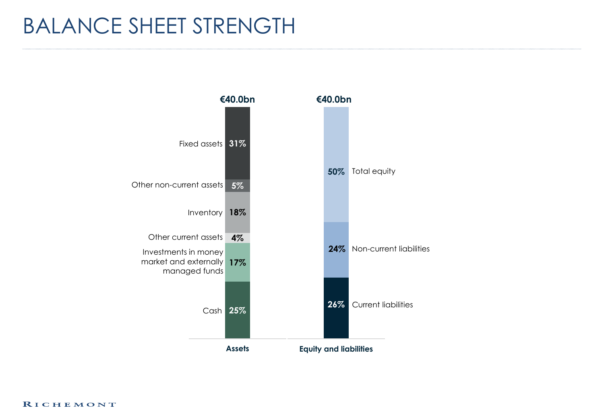### BALANCE SHEET STRENGTH